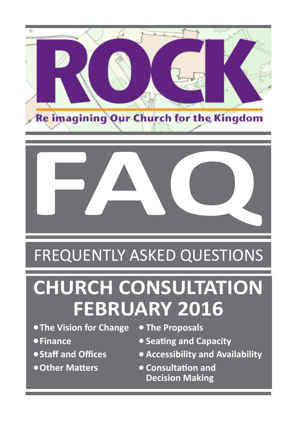



### FREQUENTLY ASKED QUESTIONS

# **CHURCH CONSULTATION FEBRUARY 2016**

- **The Vision for Change The Proposals**
- 
- 
- 
- 
- **Finance Seating and Capacity**
- **Staff and Offices Accessibility and Availability**
- **Other Matters Consultation and Decision Making**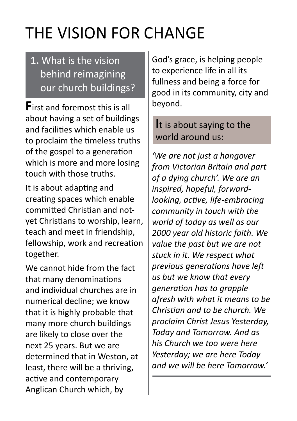## THE VISION FOR CHANGE

#### **1.** What is the vision behind reimagining our church buildings?

**F**irst and foremost this is all about having a set of buildings and facilities which enable us to proclaim the timeless truths of the gospel to a generation which is more and more losing touch with those truths.

It is about adapting and creating spaces which enable committed Christian and notyet Christians to worship, learn, teach and meet in friendship, fellowship, work and recreation together.

We cannot hide from the fact that many denominations and individual churches are in numerical decline; we know that it is highly probable that many more church buildings are likely to close over the next 25 years. But we are determined that in Weston, at least, there will be a thriving, active and contemporary Anglican Church which, by

God's grace, is helping people to experience life in all its fullness and being a force for good in its community, city and beyond.

#### **I**t is about saying to the world around us:

*'We are not just a hangover from Victorian Britain and part of a dying church'. We are an inspired, hopeful, forwardlooking, active, life-embracing community in touch with the world of today as well as our 2000 year old historic faith. We value the past but we are not stuck in it. We respect what previous generations have left us but we know that every generation has to grapple afresh with what it means to be Christian and to be church. We proclaim Christ Jesus Yesterday, Today and Tomorrow. And as his Church we too were here Yesterday; we are here Today and we will be here Tomorrow.'*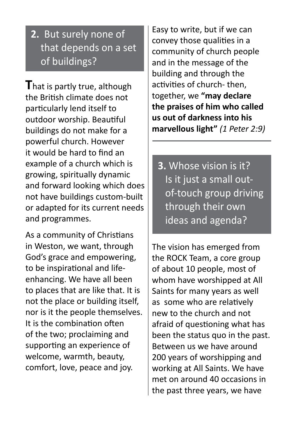#### **2.** But surely none of that depends on a set of buildings?

**T**hat is partly true, although the British climate does not particularly lend itself to outdoor worship. Beautiful buildings do not make for a powerful church. However it would be hard to find an example of a church which is growing, spiritually dynamic and forward looking which does not have buildings custom-built or adapted for its current needs and programmes.

As a community of Christians in Weston, we want, through God's grace and empowering, to be inspirational and lifeenhancing. We have all been to places that are like that. It is not the place or building itself, nor is it the people themselves. It is the combination often of the two; proclaiming and supporting an experience of welcome, warmth, beauty, comfort, love, peace and joy.

Easy to write, but if we can convey those qualities in a community of church people and in the message of the building and through the activities of church- then, together, we **"may declare the praises of him who called us out of darkness into his marvellous light"** *(1 Peter 2:9)*

**3.** Whose vision is it? Is it just a small out of-touch group driving through their own ideas and agenda?

The vision has emerged from the ROCK Team, a core group of about 10 people, most of whom have worshipped at All Saints for many years as well as some who are relatively new to the church and not afraid of questioning what has been the status quo in the past. Between us we have around 200 years of worshipping and working at All Saints. We have met on around 40 occasions in the past three years, we have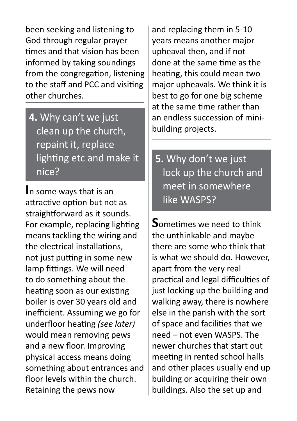been seeking and listening to God through regular prayer times and that vision has been informed by taking soundings from the congregation, listening to the staff and PCC and visiting other churches.

**4.** Why can't we just clean up the church, repaint it, replace lighting etc and make it nice?

**I**n some ways that is an attractive option but not as straightforward as it sounds. For example, replacing lighting means tackling the wiring and the electrical installations, not just putting in some new lamp fittings. We will need to do something about the heating soon as our existing boiler is over 30 years old and inefficient. Assuming we go for underfloor heating *(see later)* would mean removing pews and a new floor. Improving physical access means doing something about entrances and floor levels within the church. Retaining the pews now

and replacing them in 5-10 years means another major upheaval then, and if not done at the same time as the heating, this could mean two major upheavals. We think it is best to go for one big scheme at the same time rather than an endless succession of minibuilding projects.

**5.** Why don't we just lock up the church and meet in somewhere like WASPS?

**S**ometimes we need to think the unthinkable and maybe there are some who think that is what we should do. However, apart from the very real practical and legal difficulties of just locking up the building and walking away, there is nowhere else in the parish with the sort of space and facilities that we need – not even WASPS. The newer churches that start out meeting in rented school halls and other places usually end up building or acquiring their own buildings. Also the set up and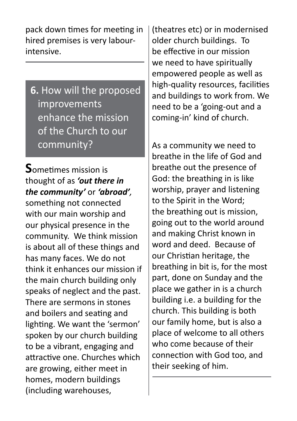pack down times for meeting in hired premises is very labourintensive.

**6.** How will the proposed improvements enhance the mission of the Church to our community?

**S**ometimes mission is thought of as *'out there in the community'* or *'abroad',* something not connected with our main worship and our physical presence in the community. We think mission is about all of these things and has many faces. We do not think it enhances our mission if the main church building only speaks of neglect and the past. There are sermons in stones and boilers and seating and lighting. We want the 'sermon' spoken by our church building to be a vibrant, engaging and attractive one. Churches which are growing, either meet in homes, modern buildings (including warehouses,

(theatres etc) or in modernised older church buildings. To be effective in our mission we need to have spiritually empowered people as well as high-quality resources, facilities and buildings to work from. We need to be a 'going-out and a coming-in' kind of church.

As a community we need to breathe in the life of God and breathe out the presence of God: the breathing in is like worship, prayer and listening to the Spirit in the Word; the breathing out is mission, going out to the world around and making Christ known in word and deed. Because of our Christian heritage, the breathing in bit is, for the most part, done on Sunday and the place we gather in is a church building i.e. a building for the church. This building is both our family home, but is also a place of welcome to all others who come because of their connection with God too, and their seeking of him.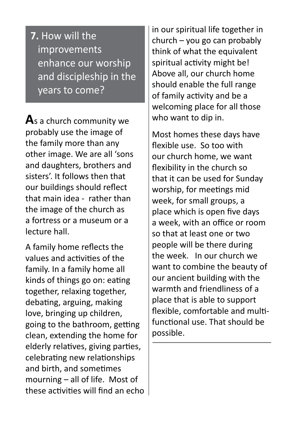**7.** How will the improvements enhance our worship and discipleship in the years to come?

**A**s a church community we probably use the image of the family more than any other image. We are all 'sons and daughters, brothers and sisters'. It follows then that our buildings should reflect that main idea - rather than the image of the church as a fortress or a museum or a lecture hall.

A family home reflects the values and activities of the family. In a family home all kinds of things go on: eating together, relaxing together, debating, arguing, making love, bringing up children, going to the bathroom, getting clean, extending the home for elderly relatives, giving parties, celebrating new relationships and birth, and sometimes mourning – all of life. Most of these activities will find an echo in our spiritual life together in church – you go can probably think of what the equivalent spiritual activity might be! Above all, our church home should enable the full range of family activity and be a welcoming place for all those who want to dip in.

Most homes these days have flexible use. So too with our church home, we want flexibility in the church so that it can be used for Sunday worship, for meetings mid week, for small groups, a place which is open five days a week, with an office or room so that at least one or two people will be there during the week. In our church we want to combine the beauty of our ancient building with the warmth and friendliness of a place that is able to support flexible, comfortable and multifunctional use. That should be possible.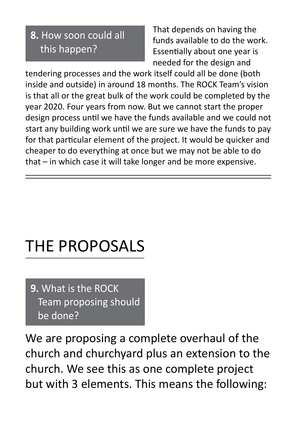#### **8.** How soon could all this happen?

 That depends on having the funds available to do the work. Essentially about one year is needed for the design and

tendering processes and the work itself could all be done (both inside and outside) in around 18 months. The ROCK Team's vision is that all or the great bulk of the work could be completed by the year 2020. Four years from now. But we cannot start the proper design process until we have the funds available and we could not start any building work until we are sure we have the funds to pay for that particular element of the project. It would be quicker and cheaper to do everything at once but we may not be able to do that – in which case it will take longer and be more expensive.

### THE PROPOSALS

**9.** What is the ROCK Team proposing should be done?

We are proposing a complete overhaul of the church and churchyard plus an extension to the church. We see this as one complete project but with 3 elements. This means the following: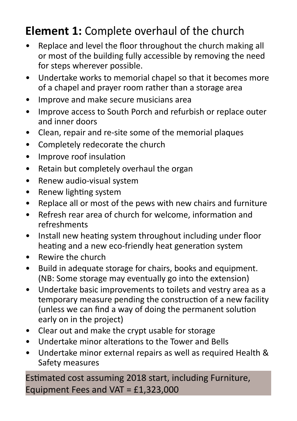### **Element 1:** Complete overhaul of the church

- Replace and level the floor throughout the church making all or most of the building fully accessible by removing the need for steps wherever possible.
- Undertake works to memorial chapel so that it becomes more of a chapel and prayer room rather than a storage area
- Improve and make secure musicians area
- Improve access to South Porch and refurbish or replace outer and inner doors
- Clean, repair and re-site some of the memorial plaques
- Completely redecorate the church
- Improve roof insulation
- Retain but completely overhaul the organ
- Renew audio-visual system
- Renew lighting system
- Replace all or most of the pews with new chairs and furniture
- Refresh rear area of church for welcome, information and refreshments
- Install new heating system throughout including under floor heating and a new eco-friendly heat generation system
- Rewire the church
- Build in adequate storage for chairs, books and equipment. (NB: Some storage may eventually go into the extension)
- Undertake basic improvements to toilets and vestry area as a temporary measure pending the construction of a new facility (unless we can find a way of doing the permanent solution early on in the project)
- Clear out and make the crypt usable for storage
- Undertake minor alterations to the Tower and Bells
- Undertake minor external repairs as well as required Health & Safety measures

Estimated cost assuming 2018 start, including Furniture, Equipment Fees and VAT =  $£1,323,000$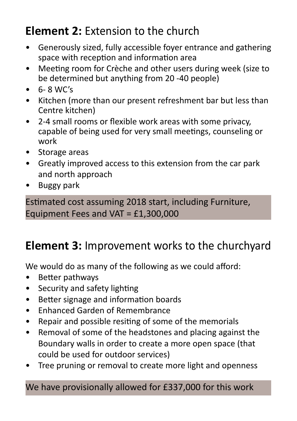### **Element 2:** Extension to the church

- Generously sized, fully accessible foyer entrance and gathering space with reception and information area
- Meeting room for Crèche and other users during week (size to be determined but anything from 20 -40 people)
- $\bullet$  6-8 WC's
- Kitchen (more than our present refreshment bar but less than Centre kitchen)
- 2-4 small rooms or flexible work areas with some privacy, capable of being used for very small meetings, counseling or work
- Storage areas
- Greatly improved access to this extension from the car park and north approach
- Buggy park

Estimated cost assuming 2018 start, including Furniture, Equipment Fees and VAT = £1,300,000

### **Element 3:** Improvement works to the churchyard

We would do as many of the following as we could afford:

- Better pathways
- Security and safety lighting
- Better signage and information boards
- Enhanced Garden of Remembrance
- Repair and possible resiting of some of the memorials
- Removal of some of the headstones and placing against the Boundary walls in order to create a more open space (that could be used for outdoor services)
- Tree pruning or removal to create more light and openness

We have provisionally allowed for £337,000 for this work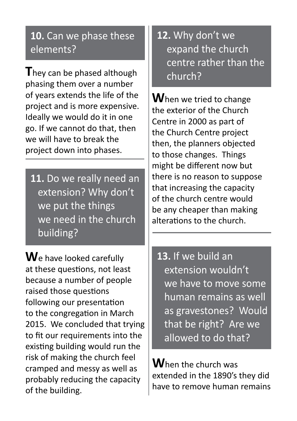#### **10.** Can we phase these elements?

**T**hey can be phased although phasing them over a number of years extends the life of the project and is more expensive. Ideally we would do it in one go. If we cannot do that, then we will have to break the project down into phases.

**11.** Do we really need an extension? Why don't we put the things we need in the church building?

**W**e have looked carefully at these questions, not least because a number of people raised those questions following our presentation to the congregation in March 2015. We concluded that trying to fit our requirements into the existing building would run the risk of making the church feel cramped and messy as well as probably reducing the capacity of the building.

#### **12.** Why don't we expand the church centre rather than the church?

**W**hen we tried to change the exterior of the Church Centre in 2000 as part of the Church Centre project then, the planners objected to those changes. Things might be different now but there is no reason to suppose that increasing the capacity of the church centre would be any cheaper than making alterations to the church.

**13.** If we build an extension wouldn't we have to move some human remains as well as gravestones? Would that be right? Are we allowed to do that?

**W**hen the church was extended in the 1890's they did have to remove human remains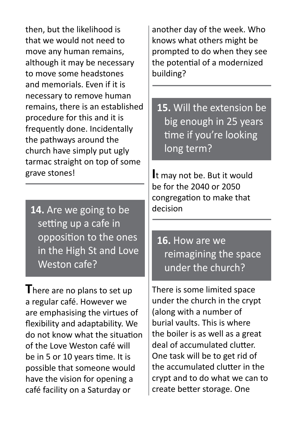then, but the likelihood is that we would not need to move any human remains, although it may be necessary to move some headstones and memorials. Even if it is necessary to remove human remains, there is an established procedure for this and it is frequently done. Incidentally the pathways around the church have simply put ugly tarmac straight on top of some grave stones!

**14.** Are we going to be setting up a cafe in opposition to the ones in the High St and Love Weston cafe?

**T**here are no plans to set up a regular café. However we are emphasising the virtues of flexibility and adaptability. We do not know what the situation of the Love Weston café will be in 5 or 10 years time. It is possible that someone would have the vision for opening a café facility on a Saturday or

another day of the week. Who knows what others might be prompted to do when they see the potential of a modernized building?

**15.** Will the extension be big enough in 25 years time if you're looking long term?

**I**t may not be. But it would be for the 2040 or 2050 congregation to make that decision

**16.** How are we reimagining the space under the church?

There is some limited space under the church in the crypt (along with a number of burial vaults. This is where the boiler is as well as a great deal of accumulated clutter. One task will be to get rid of the accumulated clutter in the crypt and to do what we can to create better storage. One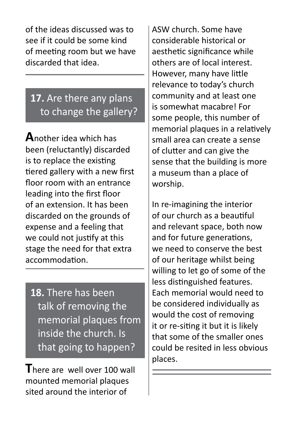of the ideas discussed was to see if it could be some kind of meeting room but we have discarded that idea.

#### **17.** Are there any plans to change the gallery?

**A**nother idea which has been (reluctantly) discarded is to replace the existing tiered gallery with a new first floor room with an entrance leading into the first floor of an extension. It has been discarded on the grounds of expense and a feeling that we could not justify at this stage the need for that extra accommodation.

**18.** There has been talk of removing the memorial plaques from inside the church. Is that going to happen?

**T**here are well over 100 wall mounted memorial plaques sited around the interior of

ASW church. Some have considerable historical or aesthetic significance while others are of local interest. However, many have little relevance to today's church community and at least one is somewhat macabre! For some people, this number of memorial plaques in a relatively small area can create a sense of clutter and can give the sense that the building is more a museum than a place of worship.

In re-imagining the interior of our church as a beautiful and relevant space, both now and for future generations, we need to conserve the best of our heritage whilst being willing to let go of some of the less distinguished features. Each memorial would need to be considered individually as would the cost of removing it or re-siting it but it is likely that some of the smaller ones could be resited in less obvious places.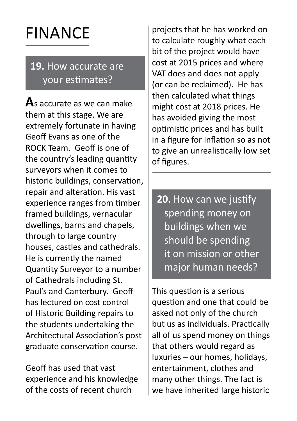## FINANCE

#### **19.** How accurate are your estimates?

**A**s accurate as we can make them at this stage. We are extremely fortunate in having Geoff Evans as one of the ROCK Team. Geoff is one of the country's leading quantity surveyors when it comes to historic buildings, conservation, repair and alteration. His vast experience ranges from timber framed buildings, vernacular dwellings, barns and chapels, through to large country houses, castles and cathedrals. He is currently the named Quantity Surveyor to a number of Cathedrals including St. Paul's and Canterbury. Geoff has lectured on cost control of Historic Building repairs to the students undertaking the Architectural Association's post graduate conservation course.

Geoff has used that vast experience and his knowledge of the costs of recent church

projects that he has worked on to calculate roughly what each bit of the project would have cost at 2015 prices and where VAT does and does not apply (or can be reclaimed). He has then calculated what things might cost at 2018 prices. He has avoided giving the most optimistic prices and has built in a figure for inflation so as not to give an unrealistically low set of figures.

**20.** How can we justify spending money on buildings when we should be spending it on mission or other major human needs?

This question is a serious question and one that could be asked not only of the church but us as individuals. Practically all of us spend money on things that others would regard as luxuries – our homes, holidays, entertainment, clothes and many other things. The fact is we have inherited large historic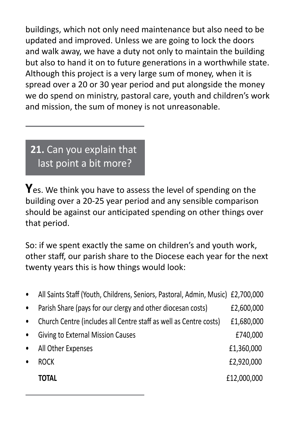buildings, which not only need maintenance but also need to be updated and improved. Unless we are going to lock the doors and walk away, we have a duty not only to maintain the building but also to hand it on to future generations in a worthwhile state. Although this project is a very large sum of money, when it is spread over a 20 or 30 year period and put alongside the money we do spend on ministry, pastoral care, youth and children's work and mission, the sum of money is not unreasonable.

#### **21.** Can you explain that last point a bit more?

**Y**es. We think you have to assess the level of spending on the building over a 20-25 year period and any sensible comparison should be against our anticipated spending on other things over that period.

So: if we spent exactly the same on children's and youth work, other staff, our parish share to the Diocese each year for the next twenty years this is how things would look:

| $\bullet$ | All Saints Staff (Youth, Childrens, Seniors, Pastoral, Admin, Music) £2,700,000 |             |
|-----------|---------------------------------------------------------------------------------|-------------|
| $\bullet$ | Parish Share (pays for our clergy and other diocesan costs)                     | £2,600,000  |
| $\bullet$ | Church Centre (includes all Centre staff as well as Centre costs)               | £1,680,000  |
| $\bullet$ | <b>Giving to External Mission Causes</b>                                        | £740,000    |
| $\bullet$ | All Other Expenses                                                              | £1,360,000  |
|           | <b>ROCK</b>                                                                     | £2,920,000  |
|           | TOTAL                                                                           | £12,000,000 |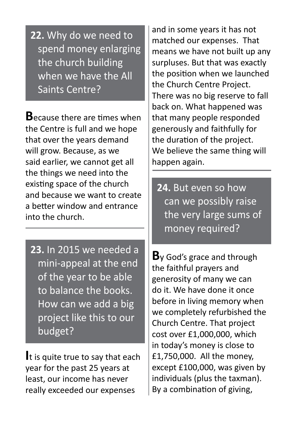**22.** Why do we need to spend money enlarging the church building when we have the All Saints Centre?

**B**ecause there are times when the Centre is full and we hope that over the years demand will grow. Because, as we said earlier, we cannot get all the things we need into the existing space of the church and because we want to create a better window and entrance into the church.

**23.** In 2015 we needed a mini-appeal at the end of the year to be able to balance the books. How can we add a big project like this to our budget?

**I**t is quite true to say that each year for the past 25 years at least, our income has never really exceeded our expenses

and in some years it has not matched our expenses. That means we have not built up any surpluses. But that was exactly the position when we launched the Church Centre Project. There was no big reserve to fall back on. What happened was that many people responded generously and faithfully for the duration of the project. We believe the same thing will happen again.

**24.** But even so how can we possibly raise the very large sums of money required?

**B**y God's grace and through the faithful prayers and generosity of many we can do it. We have done it once before in living memory when we completely refurbished the Church Centre. That project cost over £1,000,000, which in today's money is close to £1,750,000. All the money, except £100,000, was given by individuals (plus the taxman). By a combination of giving,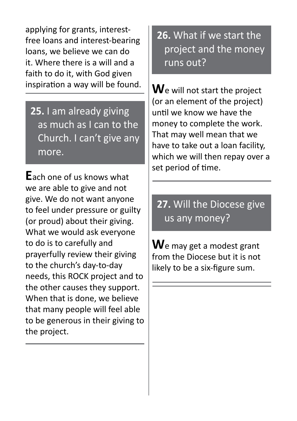applying for grants, interestfree loans and interest-bearing loans, we believe we can do it. Where there is a will and a faith to do it, with God given inspiration a way will be found.

**25.** I am already giving as much as I can to the Church. I can't give any more.

**E**ach one of us knows what we are able to give and not give. We do not want anyone to feel under pressure or guilty (or proud) about their giving. What we would ask everyone to do is to carefully and prayerfully review their giving to the church's day-to-day needs, this ROCK project and to the other causes they support. When that is done, we believe that many people will feel able to be generous in their giving to the project.

**26.** What if we start the project and the money runs out?

**W**e will not start the project (or an element of the project) until we know we have the money to complete the work. That may well mean that we have to take out a loan facility, which we will then repay over a set period of time.

**27.** Will the Diocese give us any money?

**W**e may get a modest grant from the Diocese but it is not likely to be a six-figure sum.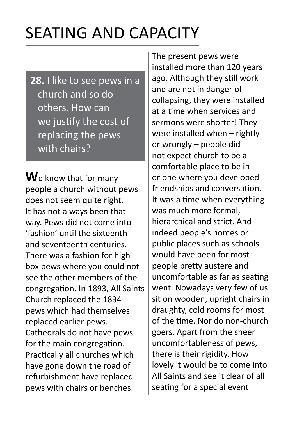### SEATING AND CAPACITY

**28.** I like to see pews in a church and so do others. How can we justify the cost of replacing the pews with chairs?

**W**e know that for many people a church without pews does not seem quite right. It has not always been that way. Pews did not come into 'fashion' until the sixteenth and seventeenth centuries. There was a fashion for high box pews where you could not see the other members of the congregation. In 1893, All Saints Church replaced the 1834 pews which had themselves replaced earlier pews. Cathedrals do not have pews for the main congregation. Practically all churches which have gone down the road of refurbishment have replaced pews with chairs or benches.

The present pews were installed more than 120 years ago. Although they still work and are not in danger of collapsing, they were installed at a time when services and sermons were shorter! They were installed when – rightly or wrongly – people did not expect church to be a comfortable place to be in or one where you developed friendships and conversation. It was a time when everything was much more formal, hierarchical and strict. And indeed people's homes or public places such as schools would have been for most people pretty austere and uncomfortable as far as seating went. Nowadays very few of us sit on wooden, upright chairs in draughty, cold rooms for most of the time. Nor do non-church goers. Apart from the sheer uncomfortableness of pews, there is their rigidity. How lovely it would be to come into All Saints and see it clear of all seating for a special event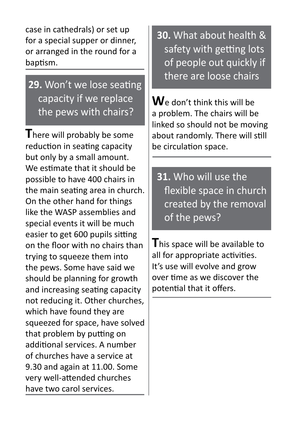case in cathedrals) or set up for a special supper or dinner, or arranged in the round for a baptism.

#### **29.** Won't we lose seating capacity if we replace the pews with chairs?

**T**here will probably be some reduction in seating capacity but only by a small amount. We estimate that it should be possible to have 400 chairs in the main seating area in church. On the other hand for things like the WASP assemblies and special events it will be much easier to get 600 pupils sitting on the floor with no chairs than trying to squeeze them into the pews. Some have said we should be planning for growth and increasing seating capacity not reducing it. Other churches, which have found they are squeezed for space, have solved that problem by putting on additional services. A number of churches have a service at 9.30 and again at 11.00. Some very well-attended churches have two carol services.

**30.** What about health & safety with getting lots of people out quickly if there are loose chairs

**W**e don't think this will be a problem. The chairs will be linked so should not be moving about randomly. There will still be circulation space.

**31.** Who will use the flexible space in church created by the removal of the pews?

**T**his space will be available to all for appropriate activities. It's use will evolve and grow over time as we discover the potential that it offers.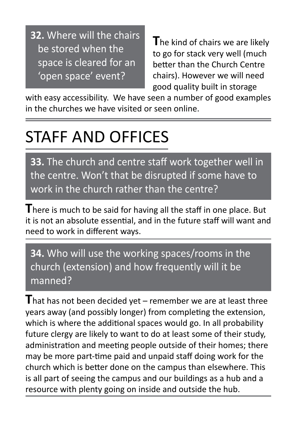**32.** Where will the chairs be stored when the space is cleared for an 'open space' event?

 **T**he kind of chairs we are likely to go for stack very well (much better than the Church Centre chairs). However we will need good quality built in storage

with easy accessibility. We have seen a number of good examples in the churches we have visited or seen online.

### STAFF AND OFFICES

**33.** The church and centre staff work together well in the centre. Won't that be disrupted if some have to work in the church rather than the centre?

**T**here is much to be said for having all the staff in one place. But it is not an absolute essential, and in the future staff will want and need to work in different ways.

**34.** Who will use the working spaces/rooms in the church (extension) and how frequently will it be manned?

**T**hat has not been decided yet – remember we are at least three years away (and possibly longer) from completing the extension, which is where the additional spaces would go. In all probability future clergy are likely to want to do at least some of their study, administration and meeting people outside of their homes; there may be more part-time paid and unpaid staff doing work for the church which is better done on the campus than elsewhere. This is all part of seeing the campus and our buildings as a hub and a resource with plenty going on inside and outside the hub.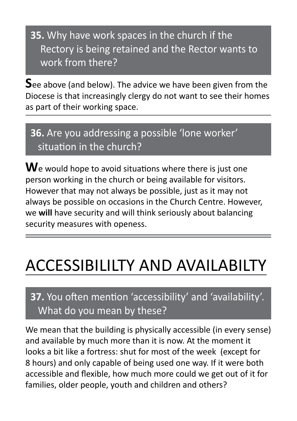**35.** Why have work spaces in the church if the Rectory is being retained and the Rector wants to work from there?

**S**ee above (and below). The advice we have been given from the Diocese is that increasingly clergy do not want to see their homes as part of their working space.

#### **36.** Are you addressing a possible 'lone worker' situation in the church?

**W**e would hope to avoid situations where there is just one person working in the church or being available for visitors. However that may not always be possible, just as it may not always be possible on occasions in the Church Centre. However, we **will** have security and will think seriously about balancing security measures with openess.

### ACCESSIBILILTY AND AVAILABILTY

#### **37.** You often mention 'accessibility' and 'availability'. What do you mean by these?

We mean that the building is physically accessible (in every sense) and available by much more than it is now. At the moment it looks a bit like a fortress: shut for most of the week (except for 8 hours) and only capable of being used one way. If it were both accessible and flexible, how much more could we get out of it for families, older people, youth and children and others?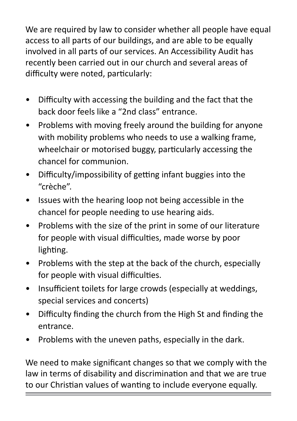We are required by law to consider whether all people have equal access to all parts of our buildings, and are able to be equally involved in all parts of our services. An Accessibility Audit has recently been carried out in our church and several areas of difficulty were noted, particularly:

- Difficulty with accessing the building and the fact that the back door feels like a "2nd class" entrance.
- Problems with moving freely around the building for anyone with mobility problems who needs to use a walking frame, wheelchair or motorised buggy, particularly accessing the chancel for communion.
- Difficulty/impossibility of getting infant buggies into the "crèche".
- Issues with the hearing loop not being accessible in the chancel for people needing to use hearing aids.
- Problems with the size of the print in some of our literature for people with visual difficulties, made worse by poor lighting.
- Problems with the step at the back of the church, especially for people with visual difficulties.
- Insufficient toilets for large crowds (especially at weddings, special services and concerts)
- Difficulty finding the church from the High St and finding the entrance.
- Problems with the uneven paths, especially in the dark.

We need to make significant changes so that we comply with the law in terms of disability and discrimination and that we are true to our Christian values of wanting to include everyone equally.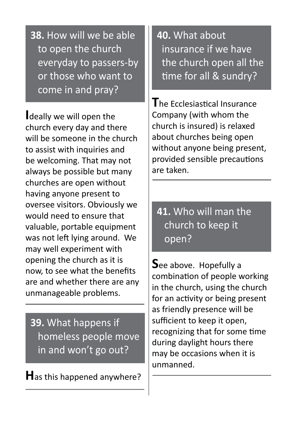**38.** How will we be able to open the church everyday to passers-by or those who want to come in and pray?

**I**deally we will open the church every day and there will be someone in the church to assist with inquiries and be welcoming. That may not always be possible but many churches are open without having anyone present to oversee visitors. Obviously we would need to ensure that valuable, portable equipment was not left lying around. We may well experiment with opening the church as it is now, to see what the benefits are and whether there are any unmanageable problems.

**39.** What happens if homeless people move in and won't go out?

**H**as this happened anywhere?

**40.** What about insurance if we have the church open all the time for all & sundry?

**T**he Ecclesiastical Insurance Company (with whom the church is insured) is relaxed about churches being open without anyone being present, provided sensible precautions are taken.

**41.** Who will man the church to keep it open?

**S**ee above. Hopefully a combination of people working in the church, using the church for an activity or being present as friendly presence will be sufficient to keep it open, recognizing that for some time during daylight hours there may be occasions when it is unmanned.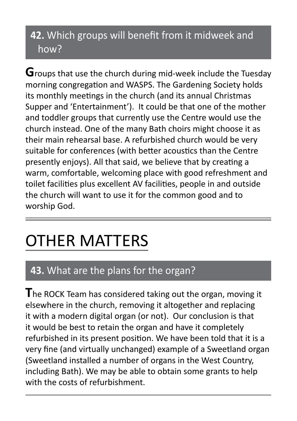#### **42.** Which groups will benefit from it midweek and how?

**G**roups that use the church during mid-week include the Tuesday morning congregation and WASPS. The Gardening Society holds its monthly meetings in the church (and its annual Christmas Supper and 'Entertainment'). It could be that one of the mother and toddler groups that currently use the Centre would use the church instead. One of the many Bath choirs might choose it as their main rehearsal base. A refurbished church would be very suitable for conferences (with better acoustics than the Centre presently enjoys). All that said, we believe that by creating a warm, comfortable, welcoming place with good refreshment and toilet facilities plus excellent AV facilities, people in and outside the church will want to use it for the common good and to worship God.

## OTHER MATTERS

#### **43.** What are the plans for the organ?

**T**he ROCK Team has considered taking out the organ, moving it elsewhere in the church, removing it altogether and replacing it with a modern digital organ (or not). Our conclusion is that it would be best to retain the organ and have it completely refurbished in its present position. We have been told that it is a very fine (and virtually unchanged) example of a Sweetland organ (Sweetland installed a number of organs in the West Country, including Bath). We may be able to obtain some grants to help with the costs of refurbishment.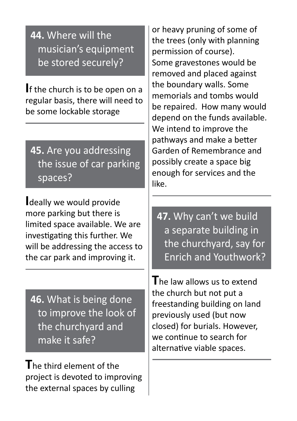#### **44.** Where will the musician's equipment be stored securely?

**I**f the church is to be open on a regular basis, there will need to be some lockable storage

**45.** Are you addressing the issue of car parking spaces?

**I**deally we would provide more parking but there is limited space available. We are investigating this further. We will be addressing the access to the car park and improving it.

**46.** What is being done to improve the look of the churchyard and make it safe?

**T**he third element of the project is devoted to improving the external spaces by culling

or heavy pruning of some of the trees (only with planning permission of course). Some gravestones would be removed and placed against the boundary walls. Some memorials and tombs would be repaired. How many would depend on the funds available. We intend to improve the pathways and make a better Garden of Remembrance and possibly create a space big enough for services and the like.

**47.** Why can't we build a separate building in the churchyard, say for Enrich and Youthwork?

**T**he law allows us to extend the church but not put a freestanding building on land previously used (but now closed) for burials. However, we continue to search for alternative viable spaces.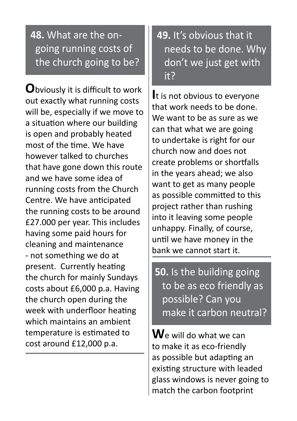#### **48.** What are the on going running costs of the church going to be?

**O**bviously it is difficult to work out exactly what running costs will be, especially if we move to a situation where our building is open and probably heated most of the time. We have however talked to churches that have gone down this route and we have some idea of running costs from the Church Centre. We have anticipated the running costs to be around £27.000 per year. This includes having some paid hours for cleaning and maintenance - not something we do at present. Currently heating the church for mainly Sundays costs about £6,000 p.a. Having the church open during the week with underfloor heating which maintains an ambient temperature is estimated to cost around £12,000 p.a.

**49.** It's obvious that it needs to be done. Why don't we just get with it?

**I**t is not obvious to everyone that work needs to be done. We want to be as sure as we can that what we are going to undertake is right for our church now and does not create problems or shortfalls in the years ahead; we also want to get as many people as possible committed to this project rather than rushing into it leaving some people unhappy. Finally, of course, until we have money in the bank we cannot start it.

**50.** Is the building going to be as eco friendly as possible? Can you make it carbon neutral?

**W**e will do what we can to make it as eco-friendly as possible but adapting an existing structure with leaded glass windows is never going to match the carbon footprint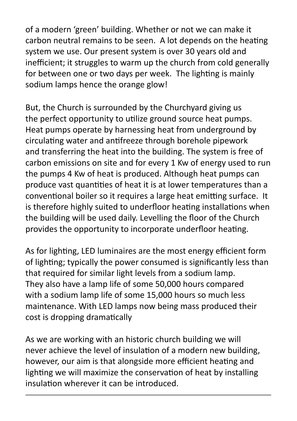of a modern 'green' building. Whether or not we can make it carbon neutral remains to be seen. A lot depends on the heating system we use. Our present system is over 30 years old and inefficient; it struggles to warm up the church from cold generally for between one or two days per week. The lighting is mainly sodium lamps hence the orange glow!

But, the Church is surrounded by the Churchyard giving us the perfect opportunity to utilize ground source heat pumps. Heat pumps operate by harnessing heat from underground by circulating water and antifreeze through borehole pipework and transferring the heat into the building. The system is free of carbon emissions on site and for every 1 Kw of energy used to run the pumps 4 Kw of heat is produced. Although heat pumps can produce vast quantities of heat it is at lower temperatures than a conventional boiler so it requires a large heat emitting surface. It is therefore highly suited to underfloor heating installations when the building will be used daily. Levelling the floor of the Church provides the opportunity to incorporate underfloor heating.

As for lighting, LED luminaires are the most energy efficient form of lighting; typically the power consumed is significantly less than that required for similar light levels from a sodium lamp. They also have a lamp life of some 50,000 hours compared with a sodium lamp life of some 15,000 hours so much less maintenance. With LED lamps now being mass produced their cost is dropping dramatically

As we are working with an historic church building we will never achieve the level of insulation of a modern new building, however, our aim is that alongside more efficient heating and lighting we will maximize the conservation of heat by installing insulation wherever it can be introduced.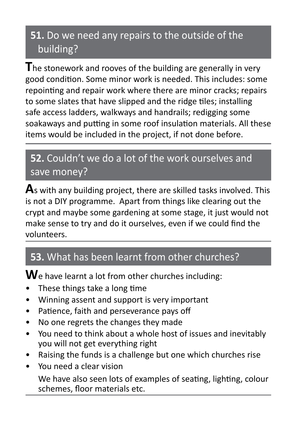#### **51.** Do we need any repairs to the outside of the building?

**T**he stonework and rooves of the building are generally in very good condition. Some minor work is needed. This includes: some repointing and repair work where there are minor cracks; repairs to some slates that have slipped and the ridge tiles; installing safe access ladders, walkways and handrails; redigging some soakaways and putting in some roof insulation materials. All these items would be included in the project, if not done before.

#### **52.** Couldn't we do a lot of the work ourselves and save money?

**A**s with any building project, there are skilled tasks involved. This is not a DIY programme. Apart from things like clearing out the crypt and maybe some gardening at some stage, it just would not make sense to try and do it ourselves, even if we could find the volunteers.

#### **53.** What has been learnt from other churches?

**W**e have learnt a lot from other churches including:

- These things take a long time
- Winning assent and support is very important
- Patience, faith and perseverance pays off
- No one regrets the changes they made
- You need to think about a whole host of issues and inevitably you will not get everything right
- Raising the funds is a challenge but one which churches rise
- You need a clear vision We have also seen lots of examples of seating, lighting, colour schemes, floor materials etc.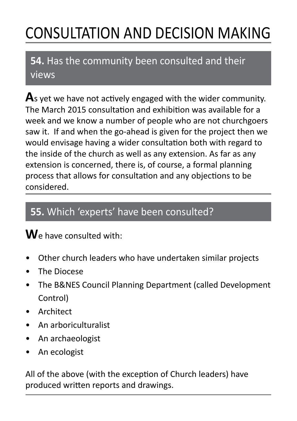## CONSULTATION AND DECISION MAKING

#### **54.** Has the community been consulted and their views

**A**s yet we have not actively engaged with the wider community. The March 2015 consultation and exhibition was available for a week and we know a number of people who are not churchgoers saw it. If and when the go-ahead is given for the project then we would envisage having a wider consultation both with regard to the inside of the church as well as any extension. As far as any extension is concerned, there is, of course, a formal planning process that allows for consultation and any objections to be considered.

#### **55.** Which 'experts' have been consulted?

#### **W**e have consulted with:

- Other church leaders who have undertaken similar projects
- The Diocese
- The B&NES Council Planning Department (called Development Control)
- Architect
- An arboriculturalist
- An archaeologist
- An ecologist

All of the above (with the exception of Church leaders) have produced written reports and drawings.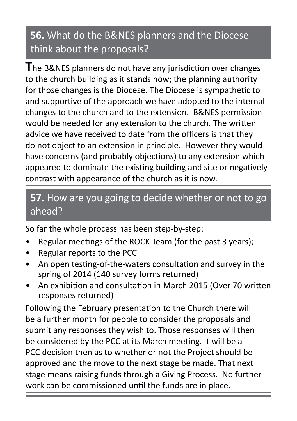#### **56.** What do the B&NES planners and the Diocese think about the proposals?

**T**he B&NES planners do not have any jurisdiction over changes to the church building as it stands now; the planning authority for those changes is the Diocese. The Diocese is sympathetic to and supportive of the approach we have adopted to the internal changes to the church and to the extension. B&NES permission would be needed for any extension to the church. The written advice we have received to date from the officers is that they do not object to an extension in principle. However they would have concerns (and probably objections) to any extension which appeared to dominate the existing building and site or negatively contrast with appearance of the church as it is now.

#### **57.** How are you going to decide whether or not to go ahead?

So far the whole process has been step-by-step:

- Regular meetings of the ROCK Team (for the past 3 years);
- Regular reports to the PCC
- An open testing-of-the-waters consultation and survey in the spring of 2014 (140 survey forms returned)
- An exhibition and consultation in March 2015 (Over 70 written responses returned)

Following the February presentation to the Church there will be a further month for people to consider the proposals and submit any responses they wish to. Those responses will then be considered by the PCC at its March meeting. It will be a PCC decision then as to whether or not the Project should be approved and the move to the next stage be made. That next stage means raising funds through a Giving Process. No further work can be commissioned until the funds are in place.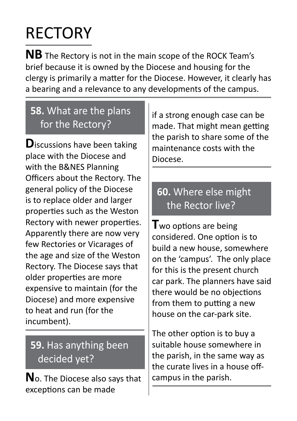# **RECTORY**

**NB** The Rectory is not in the main scope of the ROCK Team's brief because it is owned by the Diocese and housing for the clergy is primarily a matter for the Diocese. However, it clearly has a bearing and a relevance to any developments of the campus.

#### **58.** What are the plans for the Rectory?

**D**iscussions have been taking place with the Diocese and with the B&NES Planning Officers about the Rectory. The general policy of the Diocese is to replace older and larger properties such as the Weston Rectory with newer properties. Apparently there are now very few Rectories or Vicarages of the age and size of the Weston Rectory. The Diocese says that older properties are more expensive to maintain (for the Diocese) and more expensive to heat and run (for the incumbent).

#### **59.** Has anything been decided yet?

**N**o. The Diocese also says that exceptions can be made

if a strong enough case can be made. That might mean getting the parish to share some of the maintenance costs with the Diocese.

#### **60.** Where else might the Rector live?

**T**wo options are being considered. One option is to build a new house, somewhere on the 'campus'. The only place for this is the present church car park. The planners have said there would be no objections from them to putting a new house on the car-park site.

The other option is to buy a suitable house somewhere in the parish, in the same way as the curate lives in a house offcampus in the parish.